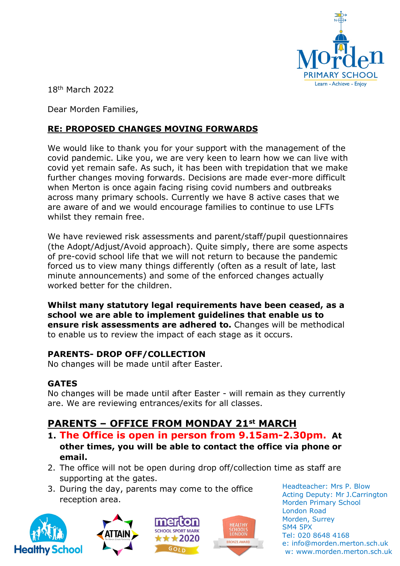

18th March 2022

Dear Morden Families,

# **RE: PROPOSED CHANGES MOVING FORWARDS**

We would like to thank you for your support with the management of the covid pandemic. Like you, we are very keen to learn how we can live with covid yet remain safe. As such, it has been with trepidation that we make further changes moving forwards. Decisions are made ever-more difficult when Merton is once again facing rising covid numbers and outbreaks across many primary schools. Currently we have 8 active cases that we are aware of and we would encourage families to continue to use LFTs whilst they remain free.

We have reviewed risk assessments and parent/staff/pupil questionnaires (the Adopt/Adjust/Avoid approach). Quite simply, there are some aspects of pre-covid school life that we will not return to because the pandemic forced us to view many things differently (often as a result of late, last minute announcements) and some of the enforced changes actually worked better for the children.

**Whilst many statutory legal requirements have been ceased, as a school we are able to implement guidelines that enable us to ensure risk assessments are adhered to.** Changes will be methodical to enable us to review the impact of each stage as it occurs.

# **PARENTS- DROP OFF/COLLECTION**

No changes will be made until after Easter.

#### **GATES**

No changes will be made until after Easter - will remain as they currently are. We are reviewing entrances/exits for all classes.

# **PARENTS – OFFICE FROM MONDAY 21st MARCH**

- **1. The Office is open in person from 9.15am-2.30pm. At other times, you will be able to contact the office via phone or email.**
- 2. The office will not be open during drop off/collection time as staff are supporting at the gates.
- 3. During the day, parents may come to the office reception area.









Headteacher: Mrs P. Blow Acting Deputy: Mr J.Carrington Morden Primary School London Road Morden, Surrey SM4 5PX Tel: 020 8648 4168 e: info@morden.merton.sch.uk w: www.morden.merton.sch.uk